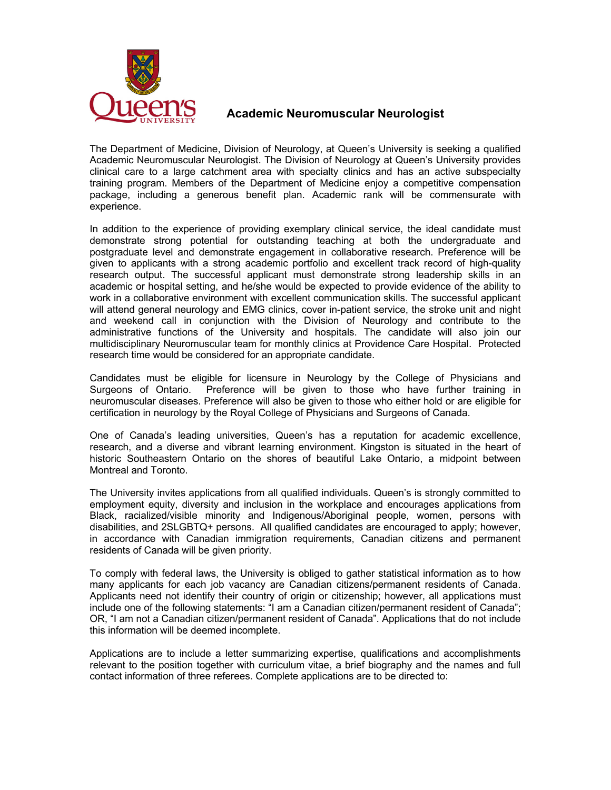

## **Academic Neuromuscular Neurologist**

The Department of Medicine, Division of Neurology, at Queen's University is seeking a qualified Academic Neuromuscular Neurologist. The Division of Neurology at Queen's University provides clinical care to a large catchment area with specialty clinics and has an active subspecialty training program. Members of the Department of Medicine enjoy a competitive compensation package, including a generous benefit plan. Academic rank will be commensurate with experience.

In addition to the experience of providing exemplary clinical service, the ideal candidate must demonstrate strong potential for outstanding teaching at both the undergraduate and postgraduate level and demonstrate engagement in collaborative research. Preference will be given to applicants with a strong academic portfolio and excellent track record of high-quality research output. The successful applicant must demonstrate strong leadership skills in an academic or hospital setting, and he/she would be expected to provide evidence of the ability to work in a collaborative environment with excellent communication skills. The successful applicant will attend general neurology and EMG clinics, cover in-patient service, the stroke unit and night and weekend call in conjunction with the Division of Neurology and contribute to the administrative functions of the University and hospitals. The candidate will also join our multidisciplinary Neuromuscular team for monthly clinics at Providence Care Hospital. Protected research time would be considered for an appropriate candidate.

Candidates must be eligible for licensure in Neurology by the College of Physicians and Surgeons of Ontario. Preference will be given to those who have further training in neuromuscular diseases. Preference will also be given to those who either hold or are eligible for certification in neurology by the Royal College of Physicians and Surgeons of Canada.

One of Canada's leading universities, Queen's has a reputation for academic excellence, research, and a diverse and vibrant learning environment. Kingston is situated in the heart of historic Southeastern Ontario on the shores of beautiful Lake Ontario, a midpoint between Montreal and Toronto.

The University invites applications from all qualified individuals. Queen's is strongly committed to employment equity, diversity and inclusion in the workplace and encourages applications from Black, racialized/visible minority and Indigenous/Aboriginal people, women, persons with disabilities, and 2SLGBTQ+ persons. All qualified candidates are encouraged to apply; however, in accordance with Canadian immigration requirements, Canadian citizens and permanent residents of Canada will be given priority.

To comply with federal laws, the University is obliged to gather statistical information as to how many applicants for each job vacancy are Canadian citizens/permanent residents of Canada. Applicants need not identify their country of origin or citizenship; however, all applications must include one of the following statements: "I am a Canadian citizen/permanent resident of Canada"; OR, "I am not a Canadian citizen/permanent resident of Canada". Applications that do not include this information will be deemed incomplete.

Applications are to include a letter summarizing expertise, qualifications and accomplishments relevant to the position together with curriculum vitae, a brief biography and the names and full contact information of three referees. Complete applications are to be directed to: